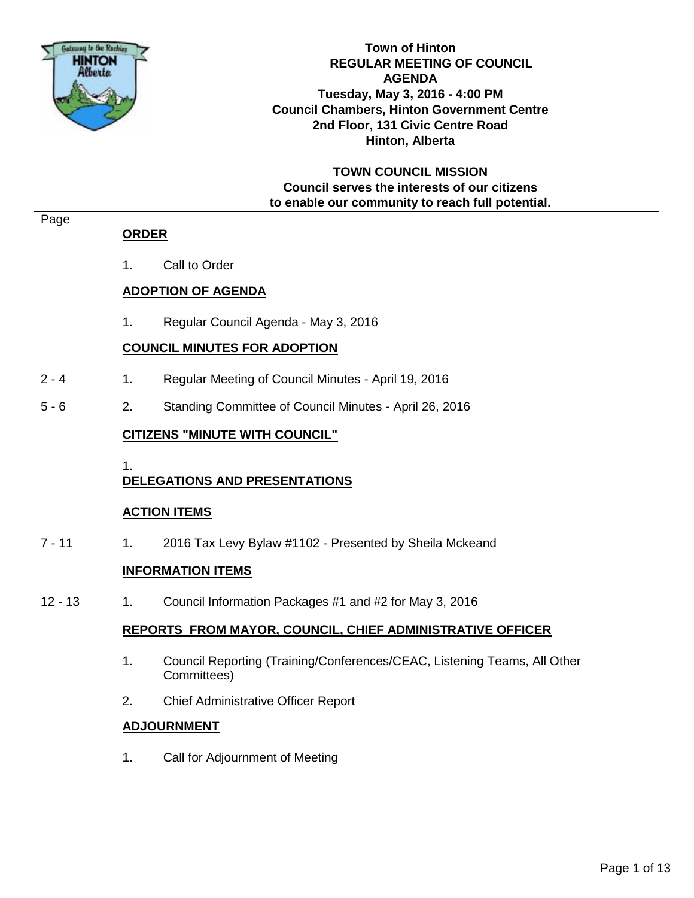

**Town of Hinton REGULAR MEETING OF COUNCIL AGENDA Tuesday, May 3, 2016 - 4:00 PM Council Chambers, Hinton Government Centre 2nd Floor, 131 Civic Centre Road Hinton, Alberta**

**TOWN COUNCIL MISSION Council serves the interests of our citizens to enable our community to reach full potential.**

#### Page

# **ORDER**

1. Call to Order

# **ADOPTION OF AGENDA**

1. Regular Council Agenda - May 3, 2016

# **COUNCIL MINUTES FOR ADOPTION**

- 2 4 1. Regular Meeting of Council Minutes April 19, 2016
- 5 6 2. Standing Committee of Council Minutes April 26, 2016

# **CITIZENS "MINUTE WITH COUNCIL"**

1.

# **DELEGATIONS AND PRESENTATIONS**

#### **ACTION ITEMS**

7 - 11 1. 2016 Tax Levy Bylaw #1102 - Presented by Sheila Mckeand

# **INFORMATION ITEMS**

12 - 13 1. Council Information Packages #1 and #2 for May 3, 2016

#### **REPORTS FROM MAYOR, COUNCIL, CHIEF ADMINISTRATIVE OFFICER**

- 1. Council Reporting (Training/Conferences/CEAC, Listening Teams, All Other Committees)
- 2. Chief Administrative Officer Report

#### **ADJOURNMENT**

1. Call for Adjournment of Meeting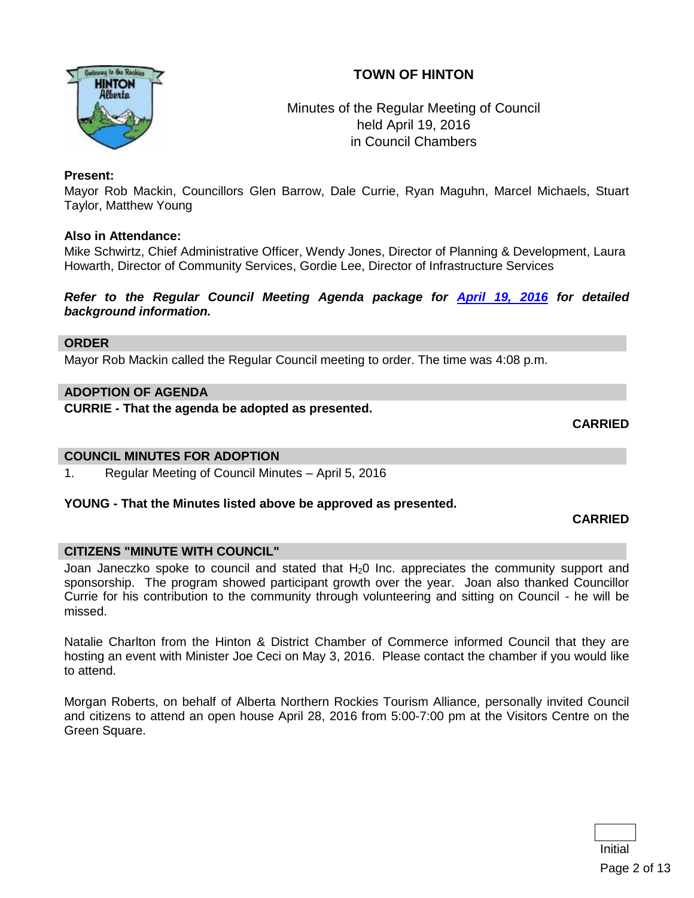# **TOWN OF HINTON**



# Minutes of the Regular Meeting of Council held April 19, 2016 in Council Chambers

#### **Present:**

Mayor Rob Mackin, Councillors Glen Barrow, Dale Currie, Ryan Maguhn, Marcel Michaels, Stuart Taylor, Matthew Young

#### **Also in Attendance:**

Mike Schwirtz, Chief Administrative Officer, Wendy Jones, Director of Planning & Development, Laura Howarth, Director of Community Services, Gordie Lee, Director of Infrastructure Services

*Refer to the Regular Council Meeting Agenda package for [April 19, 2016](http://www.hinton.ca/ArchiveCenter/ViewFile/Item/1715) for detailed background information.*

#### **ORDER**

Mayor Rob Mackin called the Regular Council meeting to order. The time was 4:08 p.m.

#### **ADOPTION OF AGENDA**

**CURRIE - That the agenda be adopted as presented.**

**CARRIED**

#### **COUNCIL MINUTES FOR ADOPTION**

1. Regular Meeting of Council Minutes – April 5, 2016

#### **YOUNG - That the Minutes listed above be approved as presented.**

#### **CARRIED**

#### **CITIZENS "MINUTE WITH COUNCIL"**

Joan Janeczko spoke to council and stated that  $H<sub>2</sub>0$  Inc. appreciates the community support and sponsorship. The program showed participant growth over the year. Joan also thanked Councillor Currie for his contribution to the community through volunteering and sitting on Council - he will be missed.

Natalie Charlton from the Hinton & District Chamber of Commerce informed Council that they are hosting an event with Minister Joe Ceci on May 3, 2016. Please contact the chamber if you would like to attend.

Morgan Roberts, on behalf of Alberta Northern Rockies Tourism Alliance, personally invited Council and citizens to attend an open house April 28, 2016 from 5:00-7:00 pm at the Visitors Centre on the Green Square.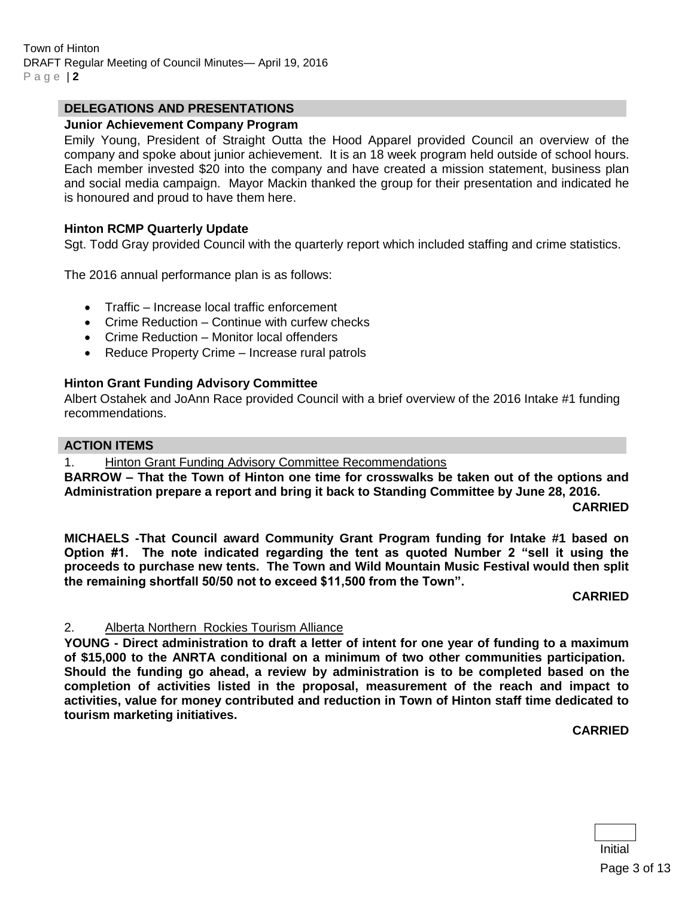#### **DELEGATIONS AND PRESENTATIONS**

#### **Junior Achievement Company Program**

Emily Young, President of Straight Outta the Hood Apparel provided Council an overview of the company and spoke about junior achievement. It is an 18 week program held outside of school hours. Each member invested \$20 into the company and have created a mission statement, business plan and social media campaign. Mayor Mackin thanked the group for their presentation and indicated he is honoured and proud to have them here.

#### **Hinton RCMP Quarterly Update**

Sgt. Todd Gray provided Council with the quarterly report which included staffing and crime statistics.

The 2016 annual performance plan is as follows:

- Traffic Increase local traffic enforcement
- Crime Reduction Continue with curfew checks
- Crime Reduction Monitor local offenders
- Reduce Property Crime Increase rural patrols

#### **Hinton Grant Funding Advisory Committee**

Albert Ostahek and JoAnn Race provided Council with a brief overview of the 2016 Intake #1 funding recommendations.

#### **ACTION ITEMS**

1. Hinton Grant Funding Advisory Committee Recommendations

**BARROW – That the Town of Hinton one time for crosswalks be taken out of the options and Administration prepare a report and bring it back to Standing Committee by June 28, 2016.**

**CARRIED**

**MICHAELS -That Council award Community Grant Program funding for Intake #1 based on Option #1. The note indicated regarding the tent as quoted Number 2 "sell it using the proceeds to purchase new tents. The Town and Wild Mountain Music Festival would then split the remaining shortfall 50/50 not to exceed \$11,500 from the Town".**

#### **CARRIED**

#### 2. Alberta Northern Rockies Tourism Alliance

**YOUNG - Direct administration to draft a letter of intent for one year of funding to a maximum of \$15,000 to the ANRTA conditional on a minimum of two other communities participation. Should the funding go ahead, a review by administration is to be completed based on the completion of activities listed in the proposal, measurement of the reach and impact to activities, value for money contributed and reduction in Town of Hinton staff time dedicated to tourism marketing initiatives.** 

**CARRIED**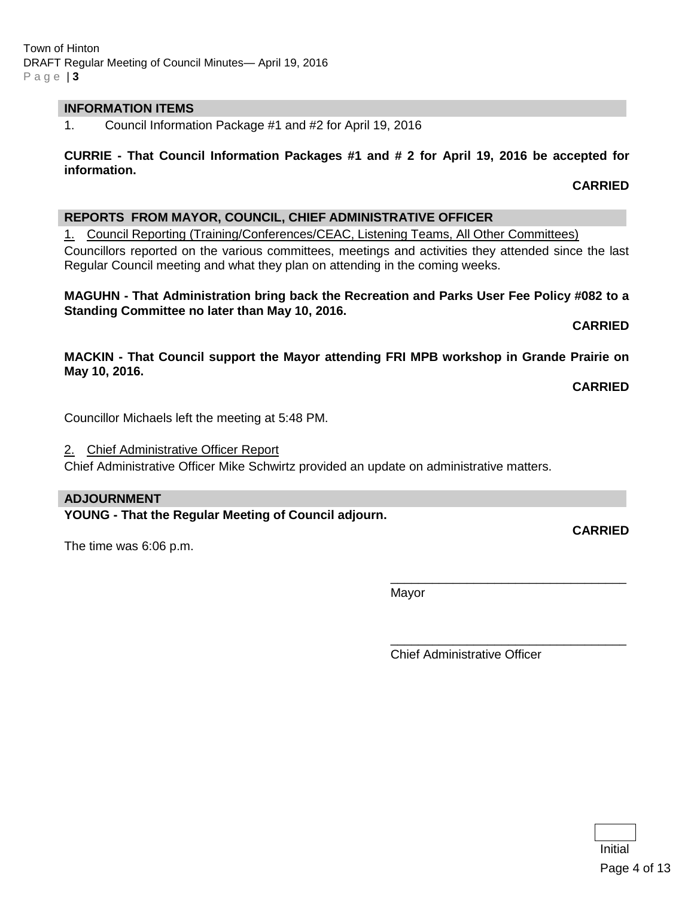#### **INFORMATION ITEMS**

1. Council Information Package #1 and #2 for April 19, 2016

#### **CURRIE - That Council Information Packages #1 and # 2 for April 19, 2016 be accepted for information.**

# **REPORTS FROM MAYOR, COUNCIL, CHIEF ADMINISTRATIVE OFFICER**

1. Council Reporting (Training/Conferences/CEAC, Listening Teams, All Other Committees)

Councillors reported on the various committees, meetings and activities they attended since the last Regular Council meeting and what they plan on attending in the coming weeks.

#### **MAGUHN - That Administration bring back the Recreation and Parks User Fee Policy #082 to a Standing Committee no later than May 10, 2016.**

**CARRIED**

**CARRIED**

**MACKIN - That Council support the Mayor attending FRI MPB workshop in Grande Prairie on May 10, 2016.**

**CARRIED**

Councillor Michaels left the meeting at 5:48 PM.

2. Chief Administrative Officer Report

Chief Administrative Officer Mike Schwirtz provided an update on administrative matters.

#### **ADJOURNMENT**

**YOUNG - That the Regular Meeting of Council adjourn.**

The time was 6:06 p.m.

Mayor

Chief Administrative Officer

\_\_\_\_\_\_\_\_\_\_\_\_\_\_\_\_\_\_\_\_\_\_\_\_\_\_\_\_\_\_\_\_\_\_

\_\_\_\_\_\_\_\_\_\_\_\_\_\_\_\_\_\_\_\_\_\_\_\_\_\_\_\_\_\_\_\_\_\_

**CARRIED**

Initial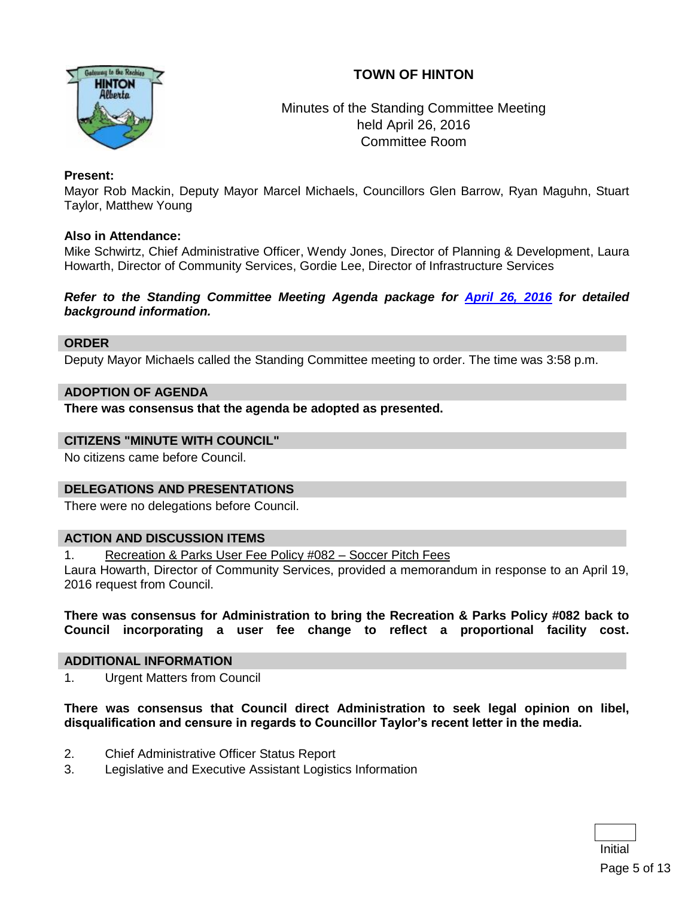# **TOWN OF HINTON**



# Minutes of the Standing Committee Meeting held April 26, 2016 Committee Room

#### **Present:**

Mayor Rob Mackin, Deputy Mayor Marcel Michaels, Councillors Glen Barrow, Ryan Maguhn, Stuart Taylor, Matthew Young

#### **Also in Attendance:**

Mike Schwirtz, Chief Administrative Officer, Wendy Jones, Director of Planning & Development, Laura Howarth, Director of Community Services, Gordie Lee, Director of Infrastructure Services

*Refer to the Standing Committee Meeting Agenda package for [April 26, 2016](http://www.hinton.ca/ArchiveCenter/ViewFile/Item/1721) for detailed background information.*

#### **ORDER**

Deputy Mayor Michaels called the Standing Committee meeting to order. The time was 3:58 p.m.

#### **ADOPTION OF AGENDA**

**There was consensus that the agenda be adopted as presented.**

#### **CITIZENS "MINUTE WITH COUNCIL"**

No citizens came before Council.

#### **DELEGATIONS AND PRESENTATIONS**

There were no delegations before Council.

#### **ACTION AND DISCUSSION ITEMS**

1. Recreation & Parks User Fee Policy #082 – Soccer Pitch Fees

Laura Howarth, Director of Community Services, provided a memorandum in response to an April 19, 2016 request from Council.

**There was consensus for Administration to bring the Recreation & Parks Policy #082 back to Council incorporating a user fee change to reflect a proportional facility cost.**

#### **ADDITIONAL INFORMATION**

1. Urgent Matters from Council

**There was consensus that Council direct Administration to seek legal opinion on libel, disqualification and censure in regards to Councillor Taylor's recent letter in the media.**

- 2. Chief Administrative Officer Status Report
- 3. Legislative and Executive Assistant Logistics Information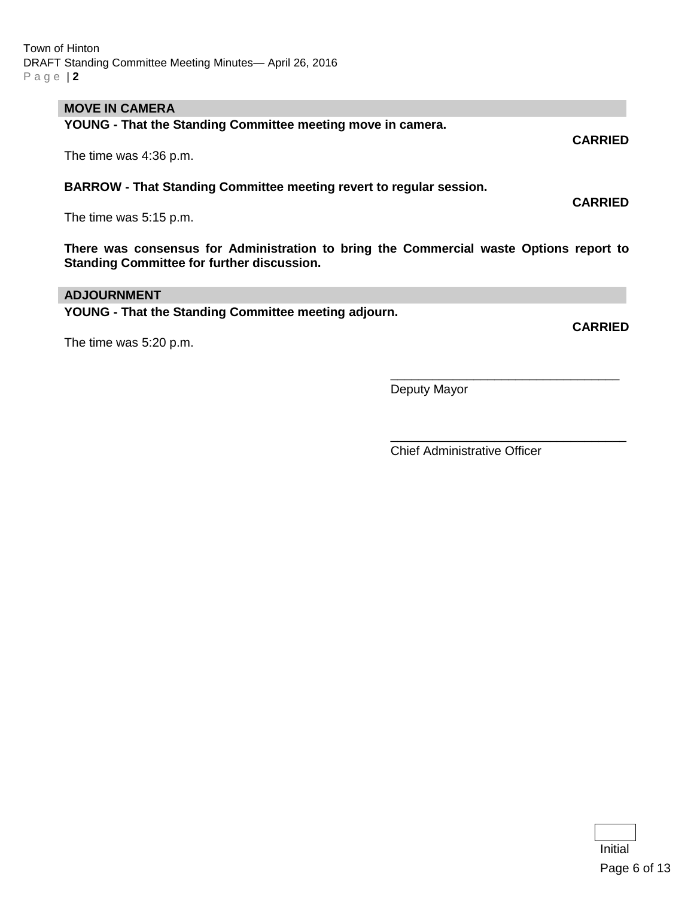#### **MOVE IN CAMERA**

**YOUNG - That the Standing Committee meeting move in camera. CARRIED** The time was 4:36 p.m.

**BARROW - That Standing Committee meeting revert to regular session.**

The time was 5:15 p.m.

**There was consensus for Administration to bring the Commercial waste Options report to Standing Committee for further discussion.**

#### **ADJOURNMENT**

**YOUNG - That the Standing Committee meeting adjourn.**

The time was 5:20 p.m.

\_\_\_\_\_\_\_\_\_\_\_\_\_\_\_\_\_\_\_\_\_\_\_\_\_\_\_\_\_\_\_\_\_ Deputy Mayor

Chief Administrative Officer

\_\_\_\_\_\_\_\_\_\_\_\_\_\_\_\_\_\_\_\_\_\_\_\_\_\_\_\_\_\_\_\_\_\_

**CARRIED**

**CARRIED**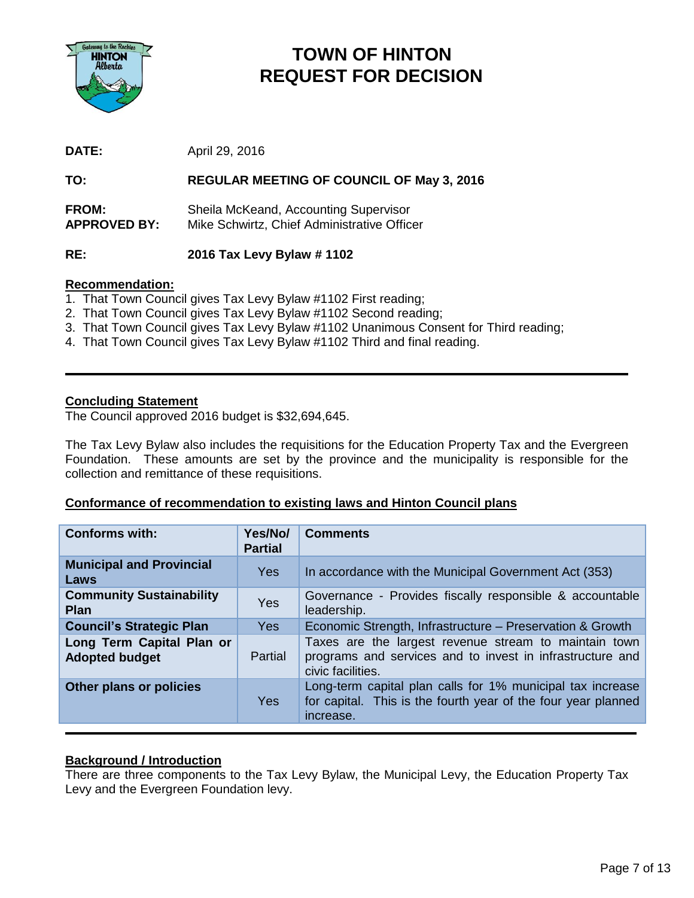

# **TOWN OF HINTON REQUEST FOR DECISION**

**DATE:** April 29, 2016

#### **TO: REGULAR MEETING OF COUNCIL OF May 3, 2016**

**FROM:** Sheila McKeand, Accounting Supervisor **APPROVED BY:** Mike Schwirtz, Chief Administrative Officer

**RE: 2016 Tax Levy Bylaw # 1102** 

#### **Recommendation:**

- 1. That Town Council gives Tax Levy Bylaw #1102 First reading;
- 2. That Town Council gives Tax Levy Bylaw #1102 Second reading;
- 3. That Town Council gives Tax Levy Bylaw #1102 Unanimous Consent for Third reading;
- 4. That Town Council gives Tax Levy Bylaw #1102 Third and final reading.

#### **Concluding Statement**

The Council approved 2016 budget is \$32,694,645.

The Tax Levy Bylaw also includes the requisitions for the Education Property Tax and the Evergreen Foundation. These amounts are set by the province and the municipality is responsible for the collection and remittance of these requisitions.

#### **Conformance of recommendation to existing laws and Hinton Council plans**

| <b>Conforms with:</b>                              | Yes/No/<br><b>Partial</b> | <b>Comments</b>                                                                                                                          |
|----------------------------------------------------|---------------------------|------------------------------------------------------------------------------------------------------------------------------------------|
| <b>Municipal and Provincial</b><br>Laws            | Yes                       | In accordance with the Municipal Government Act (353)                                                                                    |
| <b>Community Sustainability</b><br><b>Plan</b>     | Yes                       | Governance - Provides fiscally responsible & accountable<br>leadership.                                                                  |
| <b>Council's Strategic Plan</b>                    | <b>Yes</b>                | Economic Strength, Infrastructure – Preservation & Growth                                                                                |
| Long Term Capital Plan or<br><b>Adopted budget</b> | Partial                   | Taxes are the largest revenue stream to maintain town<br>programs and services and to invest in infrastructure and<br>civic facilities.  |
| Other plans or policies                            | Yes                       | Long-term capital plan calls for 1% municipal tax increase<br>for capital. This is the fourth year of the four year planned<br>increase. |

#### **Background / Introduction**

There are three components to the Tax Levy Bylaw, the Municipal Levy, the Education Property Tax Levy and the Evergreen Foundation levy.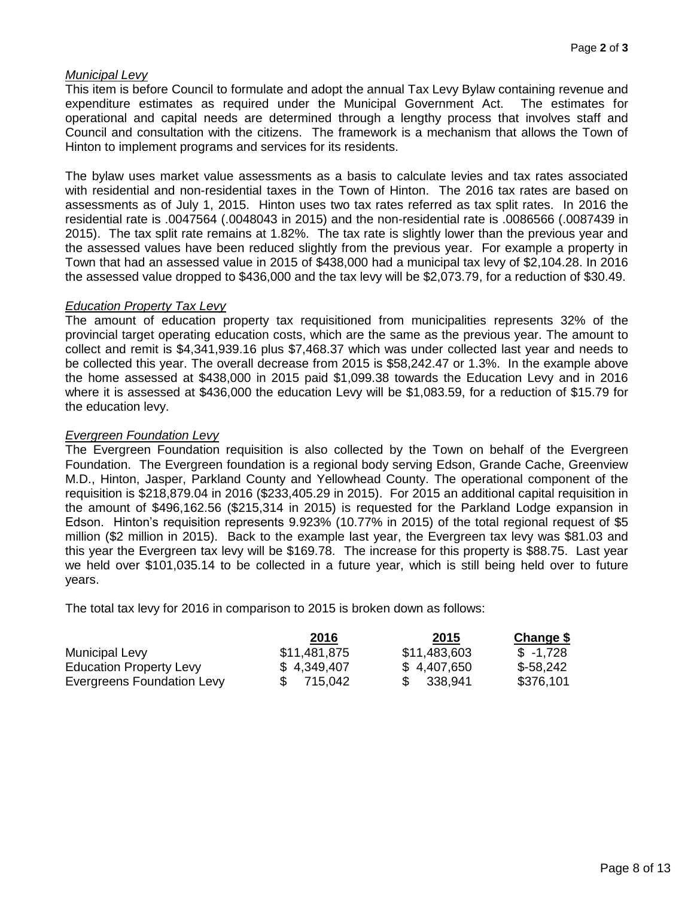#### *Municipal Levy*

This item is before Council to formulate and adopt the annual Tax Levy Bylaw containing revenue and expenditure estimates as required under the Municipal Government Act. The estimates for operational and capital needs are determined through a lengthy process that involves staff and Council and consultation with the citizens. The framework is a mechanism that allows the Town of Hinton to implement programs and services for its residents.

The bylaw uses market value assessments as a basis to calculate levies and tax rates associated with residential and non-residential taxes in the Town of Hinton. The 2016 tax rates are based on assessments as of July 1, 2015. Hinton uses two tax rates referred as tax split rates. In 2016 the residential rate is .0047564 (.0048043 in 2015) and the non-residential rate is .0086566 (.0087439 in 2015). The tax split rate remains at 1.82%. The tax rate is slightly lower than the previous year and the assessed values have been reduced slightly from the previous year. For example a property in Town that had an assessed value in 2015 of \$438,000 had a municipal tax levy of \$2,104.28. In 2016 the assessed value dropped to \$436,000 and the tax levy will be \$2,073.79, for a reduction of \$30.49.

#### *Education Property Tax Levy*

The amount of education property tax requisitioned from municipalities represents 32% of the provincial target operating education costs, which are the same as the previous year. The amount to collect and remit is \$4,341,939.16 plus \$7,468.37 which was under collected last year and needs to be collected this year. The overall decrease from 2015 is \$58,242.47 or 1.3%. In the example above the home assessed at \$438,000 in 2015 paid \$1,099.38 towards the Education Levy and in 2016 where it is assessed at \$436,000 the education Levy will be \$1,083.59, for a reduction of \$15.79 for the education levy.

#### *Evergreen Foundation Levy*

The Evergreen Foundation requisition is also collected by the Town on behalf of the Evergreen Foundation. The Evergreen foundation is a regional body serving Edson, Grande Cache, Greenview M.D., Hinton, Jasper, Parkland County and Yellowhead County. The operational component of the requisition is \$218,879.04 in 2016 (\$233,405.29 in 2015). For 2015 an additional capital requisition in the amount of \$496,162.56 (\$215,314 in 2015) is requested for the Parkland Lodge expansion in Edson. Hinton's requisition represents 9.923% (10.77% in 2015) of the total regional request of \$5 million (\$2 million in 2015). Back to the example last year, the Evergreen tax levy was \$81.03 and this year the Evergreen tax levy will be \$169.78. The increase for this property is \$88.75. Last year we held over \$101,035.14 to be collected in a future year, which is still being held over to future years.

The total tax levy for 2016 in comparison to 2015 is broken down as follows:

|                                | 2016         | 2015         | Change \$  |
|--------------------------------|--------------|--------------|------------|
| Municipal Levy                 | \$11,481,875 | \$11,483,603 | $$ -1,728$ |
| <b>Education Property Levy</b> | \$4,349,407  | \$4,407,650  | \$-58,242  |
| Evergreens Foundation Levy     | 715.042      | 338,941      | \$376,101  |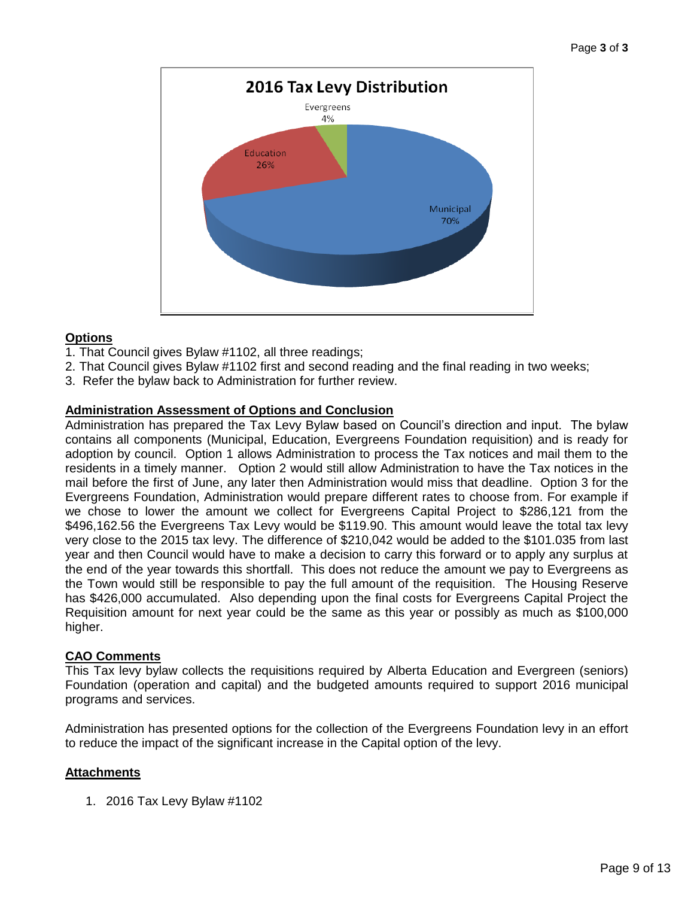

# **Options**

- 1. That Council gives Bylaw #1102, all three readings;
- 2. That Council gives Bylaw #1102 first and second reading and the final reading in two weeks;
- 3. Refer the bylaw back to Administration for further review.

#### **Administration Assessment of Options and Conclusion**

Administration has prepared the Tax Levy Bylaw based on Council's direction and input. The bylaw contains all components (Municipal, Education, Evergreens Foundation requisition) and is ready for adoption by council. Option 1 allows Administration to process the Tax notices and mail them to the residents in a timely manner. Option 2 would still allow Administration to have the Tax notices in the mail before the first of June, any later then Administration would miss that deadline. Option 3 for the Evergreens Foundation, Administration would prepare different rates to choose from. For example if we chose to lower the amount we collect for Evergreens Capital Project to \$286,121 from the \$496,162.56 the Evergreens Tax Levy would be \$119.90. This amount would leave the total tax levy very close to the 2015 tax levy. The difference of \$210,042 would be added to the \$101.035 from last year and then Council would have to make a decision to carry this forward or to apply any surplus at the end of the year towards this shortfall. This does not reduce the amount we pay to Evergreens as the Town would still be responsible to pay the full amount of the requisition. The Housing Reserve has \$426,000 accumulated. Also depending upon the final costs for Evergreens Capital Project the Requisition amount for next year could be the same as this year or possibly as much as \$100,000 higher.

#### **CAO Comments**

This Tax levy bylaw collects the requisitions required by Alberta Education and Evergreen (seniors) Foundation (operation and capital) and the budgeted amounts required to support 2016 municipal programs and services.

Administration has presented options for the collection of the Evergreens Foundation levy in an effort to reduce the impact of the significant increase in the Capital option of the levy.

#### **Attachments**

1. 2016 Tax Levy Bylaw #1102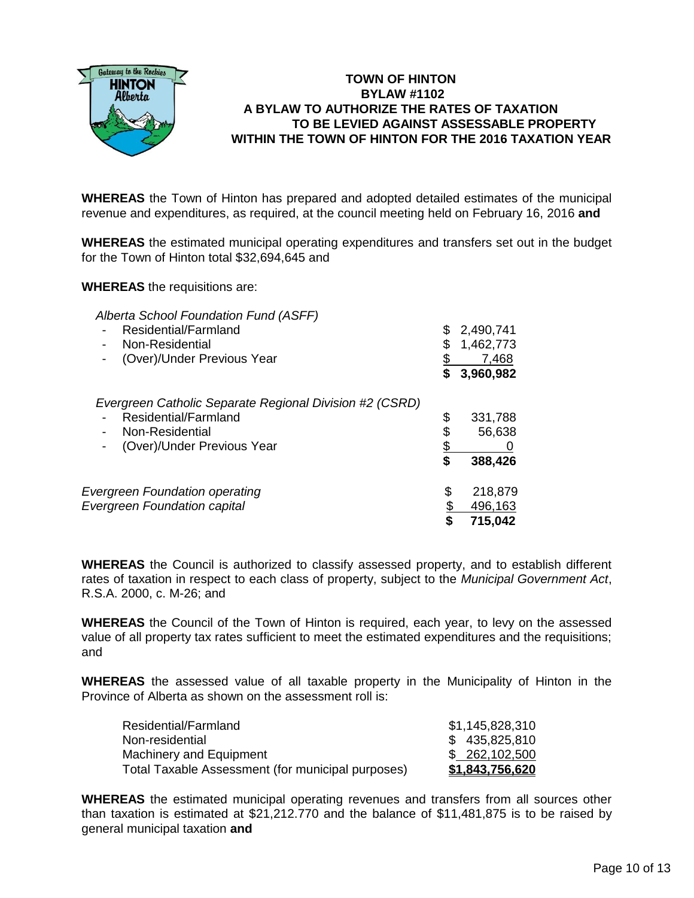

# **TOWN OF HINTON BYLAW #1102 A BYLAW TO AUTHORIZE THE RATES OF TAXATION TO BE LEVIED AGAINST ASSESSABLE PROPERTY WITHIN THE TOWN OF HINTON FOR THE 2016 TAXATION YEAR**

**WHEREAS** the Town of Hinton has prepared and adopted detailed estimates of the municipal revenue and expenditures, as required, at the council meeting held on February 16, 2016 **and**

**WHEREAS** the estimated municipal operating expenditures and transfers set out in the budget for the Town of Hinton total \$32,694,645 and

**WHEREAS** the requisitions are:

| Alberta School Foundation Fund (ASFF)<br>Residential/Farmland<br>Non-Residential<br>-<br>(Over)/Under Previous Year              | S        | 2,490,741<br>1,462,773<br>7,468<br>3,960,982 |
|----------------------------------------------------------------------------------------------------------------------------------|----------|----------------------------------------------|
| Evergreen Catholic Separate Regional Division #2 (CSRD)<br>Residential/Farmland<br>Non-Residential<br>(Over)/Under Previous Year | \$<br>S  | 331,788<br>56,638<br>388,426                 |
| <b>Evergreen Foundation operating</b><br><b>Evergreen Foundation capital</b>                                                     | \$<br>\$ | 218,879<br>496,163<br>715,042                |

**WHEREAS** the Council is authorized to classify assessed property, and to establish different rates of taxation in respect to each class of property, subject to the *Municipal Government Act*, R.S.A. 2000, c. M-26; and

**WHEREAS** the Council of the Town of Hinton is required, each year, to levy on the assessed value of all property tax rates sufficient to meet the estimated expenditures and the requisitions; and

**WHEREAS** the assessed value of all taxable property in the Municipality of Hinton in the Province of Alberta as shown on the assessment roll is:

| Residential/Farmland                              | \$1,145,828,310 |
|---------------------------------------------------|-----------------|
| Non-residential                                   | \$435,825,810   |
| Machinery and Equipment                           | \$262,102,500   |
| Total Taxable Assessment (for municipal purposes) | \$1,843,756,620 |

**WHEREAS** the estimated municipal operating revenues and transfers from all sources other than taxation is estimated at \$21,212.770 and the balance of \$11,481,875 is to be raised by general municipal taxation **and**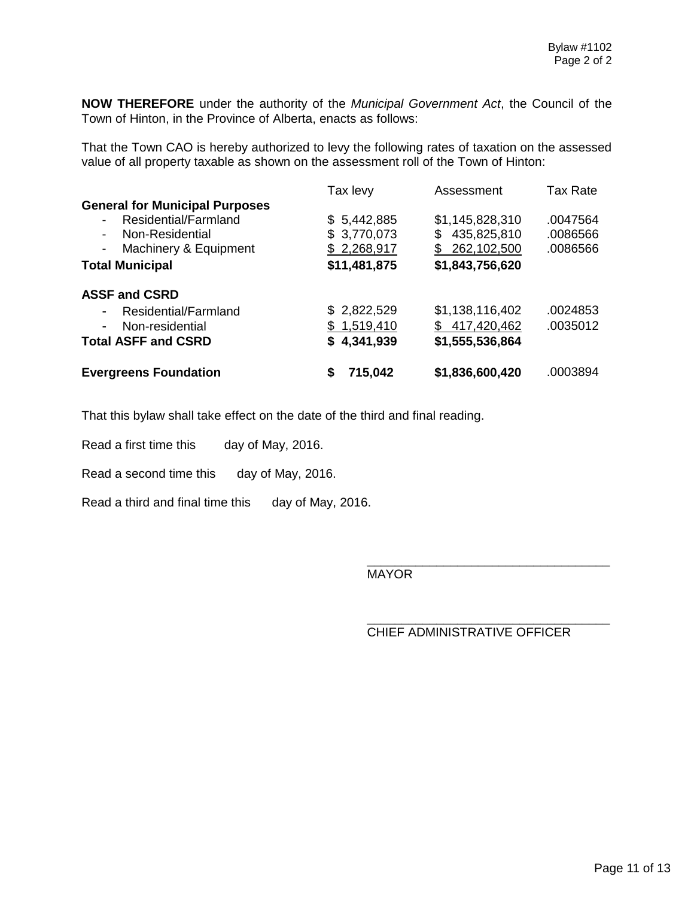**NOW THEREFORE** under the authority of the *Municipal Government Act*, the Council of the Town of Hinton, in the Province of Alberta, enacts as follows:

That the Town CAO is hereby authorized to levy the following rates of taxation on the assessed value of all property taxable as shown on the assessment roll of the Town of Hinton:

|                                                   | Tax levy     | Assessment       | Tax Rate |
|---------------------------------------------------|--------------|------------------|----------|
| <b>General for Municipal Purposes</b>             |              |                  |          |
| Residential/Farmland                              | \$5,442,885  | \$1,145,828,310  | .0047564 |
| Non-Residential<br>$\overline{\phantom{0}}$       | \$3,770,073  | 435,825,810<br>S | .0086566 |
| Machinery & Equipment<br>$\overline{\phantom{a}}$ | \$2,268,917  | \$262,102,500    | .0086566 |
| <b>Total Municipal</b>                            | \$11,481,875 | \$1,843,756,620  |          |
| <b>ASSF and CSRD</b>                              |              |                  |          |
| Residential/Farmland<br>-                         | \$2,822,529  | \$1,138,116,402  | .0024853 |
| Non-residential<br>-                              | \$1,519,410  | \$417,420,462    | .0035012 |
| <b>Total ASFF and CSRD</b>                        | \$4,341,939  | \$1,555,536,864  |          |
| <b>Evergreens Foundation</b>                      | 715,042<br>S | \$1,836,600,420  | .0003894 |

That this bylaw shall take effect on the date of the third and final reading.

Read a first time this day of May, 2016.

Read a second time this day of May, 2016.

Read a third and final time this day of May, 2016.

MAYOR

CHIEF ADMINISTRATIVE OFFICER

\_\_\_\_\_\_\_\_\_\_\_\_\_\_\_\_\_\_\_\_\_\_\_\_\_\_\_\_\_\_\_\_\_\_\_

\_\_\_\_\_\_\_\_\_\_\_\_\_\_\_\_\_\_\_\_\_\_\_\_\_\_\_\_\_\_\_\_\_\_\_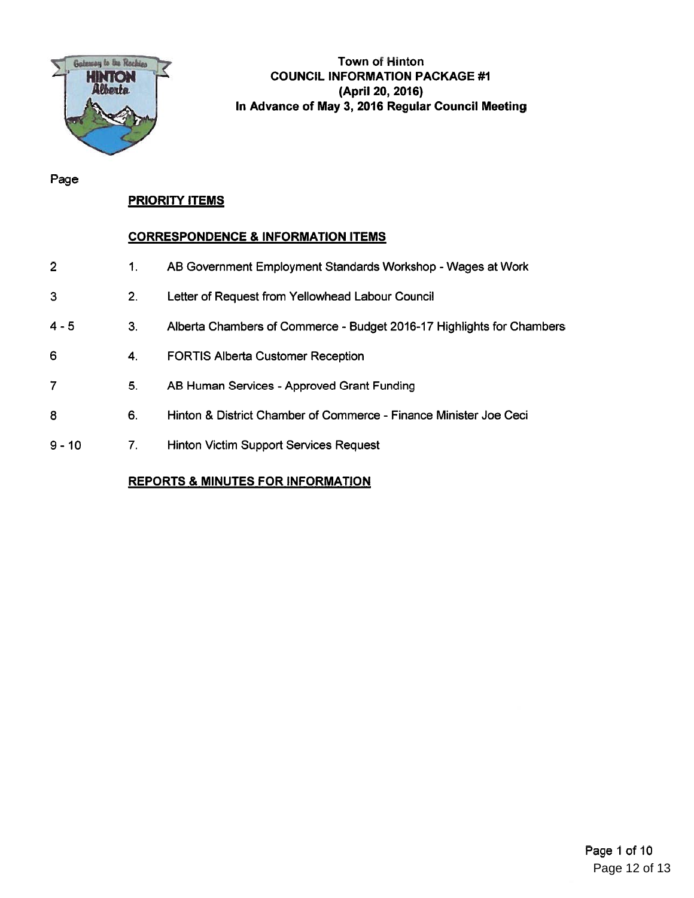

Town of Hinton HINTON COUNCIL INFORMATION PACKAGE #1 (April 20, 2016) In Advance of May 3, 2016 Regular Council Meeting

Page

# PRIORITY ITEMS

# CORRESPONDENCE & INFORMATION ITEMS

- 2 1. AB Government Employment Standards Workshop -Wages at Work
- 3 2. Letter of Request from Yellowhead Labour Council
- 4-5 3. Alberta Chambers of Commerce -Budget 2016-17 Highlights for Chambers
- 6 4. FORTIS Alberta Customer Reception
- 7 5. AB Human Services -Approved Grant Funding
- 8 6. Hinton & District Chamber of Commerce -Finance Minister Joe Ceci
- 9 10 7. Hinton Victim Support Services Request

# REPORTS & MINUTES FOR INFORMATION